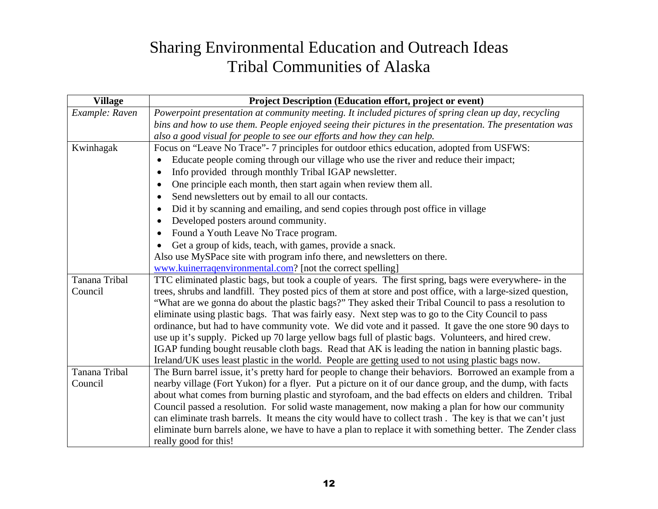## Sharing Environmental Education and Outreach Ideas Tribal Communities of Alaska

| <b>Village</b>       | Project Description (Education effort, project or event)                                                    |
|----------------------|-------------------------------------------------------------------------------------------------------------|
| Example: Raven       | Powerpoint presentation at community meeting. It included pictures of spring clean up day, recycling        |
|                      | bins and how to use them. People enjoyed seeing their pictures in the presentation. The presentation was    |
|                      | also a good visual for people to see our efforts and how they can help.                                     |
| Kwinhagak            | Focus on "Leave No Trace" - 7 principles for outdoor ethics education, adopted from USFWS:                  |
|                      | Educate people coming through our village who use the river and reduce their impact;                        |
|                      | Info provided through monthly Tribal IGAP newsletter.<br>$\bullet$                                          |
|                      | One principle each month, then start again when review them all.<br>$\bullet$                               |
|                      | Send newsletters out by email to all our contacts.<br>$\bullet$                                             |
|                      | Did it by scanning and emailing, and send copies through post office in village<br>$\bullet$                |
|                      | Developed posters around community.<br>$\bullet$                                                            |
|                      | Found a Youth Leave No Trace program.<br>$\bullet$                                                          |
|                      | Get a group of kids, teach, with games, provide a snack.                                                    |
|                      | Also use MySPace site with program info there, and newsletters on there.                                    |
|                      | www.kuinerraqenvironmental.com? [not the correct spelling]                                                  |
| <b>Tanana Tribal</b> | TTC eliminated plastic bags, but took a couple of years. The first spring, bags were everywhere- in the     |
| Council              | trees, shrubs and landfill. They posted pics of them at store and post office, with a large-sized question, |
|                      | "What are we gonna do about the plastic bags?" They asked their Tribal Council to pass a resolution to      |
|                      | eliminate using plastic bags. That was fairly easy. Next step was to go to the City Council to pass         |
|                      | ordinance, but had to have community vote. We did vote and it passed. It gave the one store 90 days to      |
|                      | use up it's supply. Picked up 70 large yellow bags full of plastic bags. Volunteers, and hired crew.        |
|                      | IGAP funding bought reusable cloth bags. Read that AK is leading the nation in banning plastic bags.        |
|                      | Ireland/UK uses least plastic in the world. People are getting used to not using plastic bags now.          |
| <b>Tanana Tribal</b> | The Burn barrel issue, it's pretty hard for people to change their behaviors. Borrowed an example from a    |
| Council              | nearby village (Fort Yukon) for a flyer. Put a picture on it of our dance group, and the dump, with facts   |
|                      | about what comes from burning plastic and styrofoam, and the bad effects on elders and children. Tribal     |
|                      | Council passed a resolution. For solid waste management, now making a plan for how our community            |
|                      | can eliminate trash barrels. It means the city would have to collect trash. The key is that we can't just   |
|                      | eliminate burn barrels alone, we have to have a plan to replace it with something better. The Zender class  |
|                      | really good for this!                                                                                       |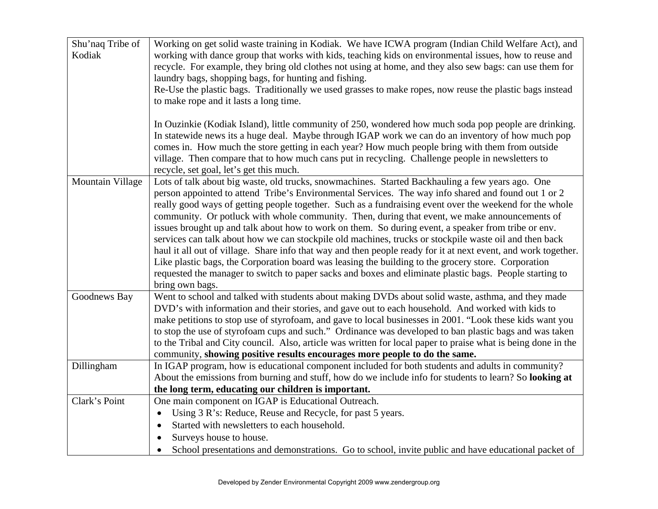| Shu'naq Tribe of | Working on get solid waste training in Kodiak. We have ICWA program (Indian Child Welfare Act), and                                                                                                                      |
|------------------|--------------------------------------------------------------------------------------------------------------------------------------------------------------------------------------------------------------------------|
| Kodiak           | working with dance group that works with kids, teaching kids on environmental issues, how to reuse and                                                                                                                   |
|                  | recycle. For example, they bring old clothes not using at home, and they also sew bags: can use them for                                                                                                                 |
|                  | laundry bags, shopping bags, for hunting and fishing.                                                                                                                                                                    |
|                  | Re-Use the plastic bags. Traditionally we used grasses to make ropes, now reuse the plastic bags instead                                                                                                                 |
|                  | to make rope and it lasts a long time.                                                                                                                                                                                   |
|                  |                                                                                                                                                                                                                          |
|                  | In Ouzinkie (Kodiak Island), little community of 250, wondered how much soda pop people are drinking.                                                                                                                    |
|                  | In statewide news its a huge deal. Maybe through IGAP work we can do an inventory of how much pop                                                                                                                        |
|                  | comes in. How much the store getting in each year? How much people bring with them from outside                                                                                                                          |
|                  | village. Then compare that to how much cans put in recycling. Challenge people in newsletters to                                                                                                                         |
|                  | recycle, set goal, let's get this much.                                                                                                                                                                                  |
| Mountain Village | Lots of talk about big waste, old trucks, snowmachines. Started Backhauling a few years ago. One                                                                                                                         |
|                  | person appointed to attend Tribe's Environmental Services. The way info shared and found out 1 or 2                                                                                                                      |
|                  | really good ways of getting people together. Such as a fundraising event over the weekend for the whole                                                                                                                  |
|                  | community. Or potluck with whole community. Then, during that event, we make announcements of                                                                                                                            |
|                  | issues brought up and talk about how to work on them. So during event, a speaker from tribe or env.                                                                                                                      |
|                  | services can talk about how we can stockpile old machines, trucks or stockpile waste oil and then back<br>haul it all out of village. Share info that way and then people ready for it at next event, and work together. |
|                  | Like plastic bags, the Corporation board was leasing the building to the grocery store. Corporation                                                                                                                      |
|                  | requested the manager to switch to paper sacks and boxes and eliminate plastic bags. People starting to                                                                                                                  |
|                  | bring own bags.                                                                                                                                                                                                          |
| Goodnews Bay     | Went to school and talked with students about making DVDs about solid waste, asthma, and they made                                                                                                                       |
|                  | DVD's with information and their stories, and gave out to each household. And worked with kids to                                                                                                                        |
|                  | make petitions to stop use of styrofoam, and gave to local businesses in 2001. "Look these kids want you                                                                                                                 |
|                  | to stop the use of styrofoam cups and such." Ordinance was developed to ban plastic bags and was taken                                                                                                                   |
|                  | to the Tribal and City council. Also, article was written for local paper to praise what is being done in the                                                                                                            |
|                  | community, showing positive results encourages more people to do the same.                                                                                                                                               |
| Dillingham       | In IGAP program, how is educational component included for both students and adults in community?                                                                                                                        |
|                  | About the emissions from burning and stuff, how do we include info for students to learn? So looking at                                                                                                                  |
|                  | the long term, educating our children is important.                                                                                                                                                                      |
| Clark's Point    | One main component on IGAP is Educational Outreach.                                                                                                                                                                      |
|                  | Using 3 R's: Reduce, Reuse and Recycle, for past 5 years.                                                                                                                                                                |
|                  | Started with newsletters to each household.<br>$\bullet$                                                                                                                                                                 |
|                  | Surveys house to house.<br>$\bullet$                                                                                                                                                                                     |
|                  | School presentations and demonstrations. Go to school, invite public and have educational packet of                                                                                                                      |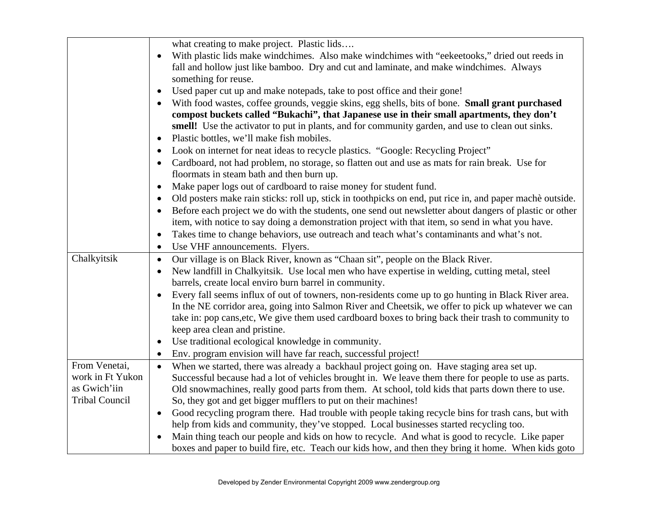|                       | what creating to make project. Plastic lids                                                                           |
|-----------------------|-----------------------------------------------------------------------------------------------------------------------|
|                       | With plastic lids make windchimes. Also make windchimes with "eekeetooks," dried out reeds in<br>$\bullet$            |
|                       | fall and hollow just like bamboo. Dry and cut and laminate, and make windchimes. Always                               |
|                       | something for reuse.                                                                                                  |
|                       | Used paper cut up and make notepads, take to post office and their gone!<br>$\bullet$                                 |
|                       | With food wastes, coffee grounds, veggie skins, egg shells, bits of bone. Small grant purchased<br>$\bullet$          |
|                       | compost buckets called "Bukachi", that Japanese use in their small apartments, they don't                             |
|                       | smell! Use the activator to put in plants, and for community garden, and use to clean out sinks.                      |
|                       | Plastic bottles, we'll make fish mobiles.<br>$\bullet$                                                                |
|                       | Look on internet for neat ideas to recycle plastics. "Google: Recycling Project"<br>$\bullet$                         |
|                       | Cardboard, not had problem, no storage, so flatten out and use as mats for rain break. Use for<br>$\bullet$           |
|                       | floormats in steam bath and then burn up.                                                                             |
|                       | Make paper logs out of cardboard to raise money for student fund.<br>$\bullet$                                        |
|                       | Old posters make rain sticks: roll up, stick in toothpicks on end, put rice in, and paper machè outside.<br>$\bullet$ |
|                       | Before each project we do with the students, one send out newsletter about dangers of plastic or other<br>$\bullet$   |
|                       | item, with notice to say doing a demonstration project with that item, so send in what you have.                      |
|                       | Takes time to change behaviors, use outreach and teach what's contaminants and what's not.<br>$\bullet$               |
|                       | Use VHF announcements. Flyers.<br>$\bullet$                                                                           |
| Chalkyitsik           | Our village is on Black River, known as "Chaan sit", people on the Black River.<br>$\bullet$                          |
|                       | New landfill in Chalkyitsik. Use local men who have expertise in welding, cutting metal, steel<br>$\bullet$           |
|                       | barrels, create local enviro burn barrel in community.                                                                |
|                       | Every fall seems influx of out of towners, non-residents come up to go hunting in Black River area.<br>$\bullet$      |
|                       | In the NE corridor area, going into Salmon River and Cheetsik, we offer to pick up whatever we can                    |
|                       | take in: pop cans, etc, We give them used cardboard boxes to bring back their trash to community to                   |
|                       | keep area clean and pristine.                                                                                         |
|                       | Use traditional ecological knowledge in community.<br>$\bullet$                                                       |
|                       | Env. program envision will have far reach, successful project!<br>$\bullet$                                           |
| From Venetai,         | When we started, there was already a backhaul project going on. Have staging area set up.<br>$\bullet$                |
| work in Ft Yukon      | Successful because had a lot of vehicles brought in. We leave them there for people to use as parts.                  |
| as Gwich'iin          | Old snowmachines, really good parts from them. At school, told kids that parts down there to use.                     |
| <b>Tribal Council</b> | So, they got and get bigger mufflers to put on their machines!                                                        |
|                       | Good recycling program there. Had trouble with people taking recycle bins for trash cans, but with<br>$\bullet$       |
|                       | help from kids and community, they've stopped. Local businesses started recycling too.                                |
|                       | Main thing teach our people and kids on how to recycle. And what is good to recycle. Like paper                       |
|                       | boxes and paper to build fire, etc. Teach our kids how, and then they bring it home. When kids goto                   |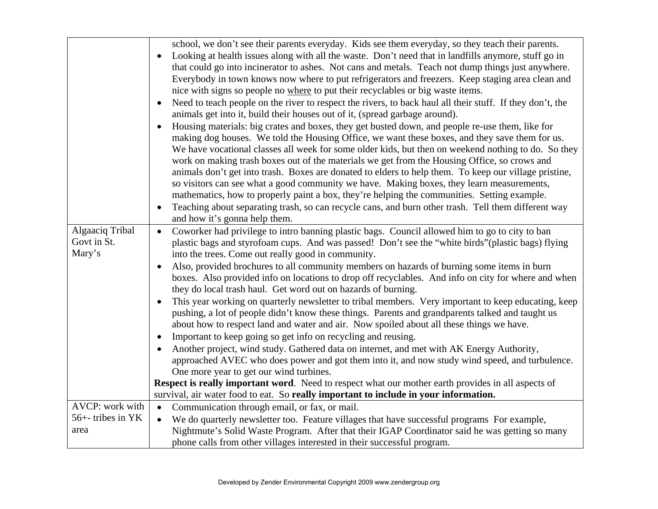|                                          | school, we don't see their parents everyday. Kids see them everyday, so they teach their parents.<br>Looking at health issues along with all the waste. Don't need that in landfills anymore, stuff go in<br>$\bullet$<br>that could go into incinerator to ashes. Not cans and metals. Teach not dump things just anywhere.<br>Everybody in town knows now where to put refrigerators and freezers. Keep staging area clean and<br>nice with signs so people no where to put their recyclables or big waste items.<br>Need to teach people on the river to respect the rivers, to back haul all their stuff. If they don't, the<br>animals get into it, build their houses out of it, (spread garbage around).<br>Housing materials: big crates and boxes, they get busted down, and people re-use them, like for<br>$\bullet$<br>making dog houses. We told the Housing Office, we want these boxes, and they save them for us.<br>We have vocational classes all week for some older kids, but then on weekend nothing to do. So they<br>work on making trash boxes out of the materials we get from the Housing Office, so crows and<br>animals don't get into trash. Boxes are donated to elders to help them. To keep our village pristine,<br>so visitors can see what a good community we have. Making boxes, they learn measurements,<br>mathematics, how to properly paint a box, they're helping the communities. Setting example.<br>Teaching about separating trash, so can recycle cans, and burn other trash. Tell them different way<br>and how it's gonna help them. |
|------------------------------------------|---------------------------------------------------------------------------------------------------------------------------------------------------------------------------------------------------------------------------------------------------------------------------------------------------------------------------------------------------------------------------------------------------------------------------------------------------------------------------------------------------------------------------------------------------------------------------------------------------------------------------------------------------------------------------------------------------------------------------------------------------------------------------------------------------------------------------------------------------------------------------------------------------------------------------------------------------------------------------------------------------------------------------------------------------------------------------------------------------------------------------------------------------------------------------------------------------------------------------------------------------------------------------------------------------------------------------------------------------------------------------------------------------------------------------------------------------------------------------------------------------------------------------------------------------------------------------------------|
| Algaaciq Tribal<br>Govt in St.<br>Mary's | Coworker had privilege to intro banning plastic bags. Council allowed him to go to city to ban<br>$\bullet$<br>plastic bags and styrofoam cups. And was passed! Don't see the "white birds" (plastic bags) flying<br>into the trees. Come out really good in community.<br>Also, provided brochures to all community members on hazards of burning some items in burn<br>boxes. Also provided info on locations to drop off recyclables. And info on city for where and when<br>they do local trash haul. Get word out on hazards of burning.<br>This year working on quarterly newsletter to tribal members. Very important to keep educating, keep<br>pushing, a lot of people didn't know these things. Parents and grandparents talked and taught us<br>about how to respect land and water and air. Now spoiled about all these things we have.<br>Important to keep going so get info on recycling and reusing.<br>$\bullet$<br>Another project, wind study. Gathered data on internet, and met with AK Energy Authority,<br>approached AVEC who does power and got them into it, and now study wind speed, and turbulence.<br>One more year to get our wind turbines.<br>Respect is really important word. Need to respect what our mother earth provides in all aspects of                                                                                                                                                                                                                                                                                                    |
|                                          | survival, air water food to eat. So really important to include in your information.                                                                                                                                                                                                                                                                                                                                                                                                                                                                                                                                                                                                                                                                                                                                                                                                                                                                                                                                                                                                                                                                                                                                                                                                                                                                                                                                                                                                                                                                                                  |
| AVCP: work with                          | Communication through email, or fax, or mail.<br>$\bullet$                                                                                                                                                                                                                                                                                                                                                                                                                                                                                                                                                                                                                                                                                                                                                                                                                                                                                                                                                                                                                                                                                                                                                                                                                                                                                                                                                                                                                                                                                                                            |
| 56+- tribes in YK                        | We do quarterly newsletter too. Feature villages that have successful programs For example,<br>$\bullet$                                                                                                                                                                                                                                                                                                                                                                                                                                                                                                                                                                                                                                                                                                                                                                                                                                                                                                                                                                                                                                                                                                                                                                                                                                                                                                                                                                                                                                                                              |
| area                                     | Nightmute's Solid Waste Program. After that their IGAP Coordinator said he was getting so many<br>phone calls from other villages interested in their successful program.                                                                                                                                                                                                                                                                                                                                                                                                                                                                                                                                                                                                                                                                                                                                                                                                                                                                                                                                                                                                                                                                                                                                                                                                                                                                                                                                                                                                             |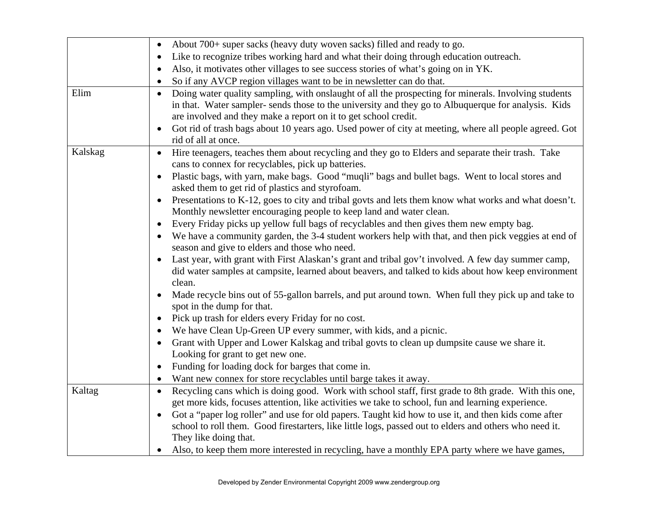|         | About 700+ super sacks (heavy duty woven sacks) filled and ready to go.<br>$\bullet$                                                                                                                                                                                                                                                                                                                                                    |
|---------|-----------------------------------------------------------------------------------------------------------------------------------------------------------------------------------------------------------------------------------------------------------------------------------------------------------------------------------------------------------------------------------------------------------------------------------------|
|         | Like to recognize tribes working hard and what their doing through education outreach.<br>$\bullet$                                                                                                                                                                                                                                                                                                                                     |
|         | Also, it motivates other villages to see success stories of what's going on in YK.<br>$\bullet$                                                                                                                                                                                                                                                                                                                                         |
|         | So if any AVCP region villages want to be in newsletter can do that.<br>$\bullet$                                                                                                                                                                                                                                                                                                                                                       |
| Elim    | Doing water quality sampling, with onslaught of all the prospecting for minerals. Involving students<br>$\bullet$<br>in that. Water sampler-sends those to the university and they go to Albuquerque for analysis. Kids<br>are involved and they make a report on it to get school credit.<br>Got rid of trash bags about 10 years ago. Used power of city at meeting, where all people agreed. Got<br>$\bullet$<br>rid of all at once. |
| Kalskag | Hire teenagers, teaches them about recycling and they go to Elders and separate their trash. Take<br>$\bullet$<br>cans to connex for recyclables, pick up batteries.                                                                                                                                                                                                                                                                    |
|         | Plastic bags, with yarn, make bags. Good "muqli" bags and bullet bags. Went to local stores and<br>$\bullet$<br>asked them to get rid of plastics and styrofoam.                                                                                                                                                                                                                                                                        |
|         | Presentations to K-12, goes to city and tribal govts and lets them know what works and what doesn't.<br>$\bullet$<br>Monthly newsletter encouraging people to keep land and water clean.                                                                                                                                                                                                                                                |
|         | Every Friday picks up yellow full bags of recyclables and then gives them new empty bag.<br>$\bullet$                                                                                                                                                                                                                                                                                                                                   |
|         | We have a community garden, the 3-4 student workers help with that, and then pick veggies at end of<br>season and give to elders and those who need.                                                                                                                                                                                                                                                                                    |
|         | Last year, with grant with First Alaskan's grant and tribal gov't involved. A few day summer camp,<br>did water samples at campsite, learned about beavers, and talked to kids about how keep environment<br>clean.                                                                                                                                                                                                                     |
|         | Made recycle bins out of 55-gallon barrels, and put around town. When full they pick up and take to<br>spot in the dump for that.                                                                                                                                                                                                                                                                                                       |
|         | Pick up trash for elders every Friday for no cost.<br>$\bullet$                                                                                                                                                                                                                                                                                                                                                                         |
|         | We have Clean Up-Green UP every summer, with kids, and a picnic.                                                                                                                                                                                                                                                                                                                                                                        |
|         | Grant with Upper and Lower Kalskag and tribal govts to clean up dumpsite cause we share it.<br>$\bullet$<br>Looking for grant to get new one.                                                                                                                                                                                                                                                                                           |
|         | Funding for loading dock for barges that come in.<br>$\bullet$                                                                                                                                                                                                                                                                                                                                                                          |
|         | Want new connex for store recyclables until barge takes it away.<br>$\bullet$                                                                                                                                                                                                                                                                                                                                                           |
| Kaltag  | Recycling cans which is doing good. Work with school staff, first grade to 8th grade. With this one,<br>$\bullet$<br>get more kids, focuses attention, like activities we take to school, fun and learning experience.                                                                                                                                                                                                                  |
|         | Got a "paper log roller" and use for old papers. Taught kid how to use it, and then kids come after<br>$\bullet$<br>school to roll them. Good firestarters, like little logs, passed out to elders and others who need it.<br>They like doing that.                                                                                                                                                                                     |
|         | Also, to keep them more interested in recycling, have a monthly EPA party where we have games,                                                                                                                                                                                                                                                                                                                                          |